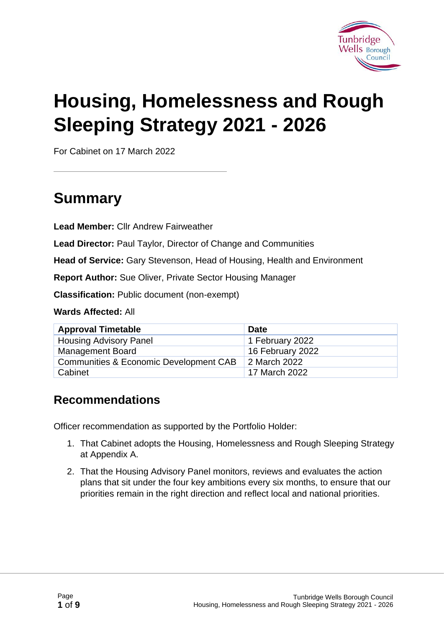

# **Housing, Homelessness and Rough Sleeping Strategy 2021 - 2026**

For Cabinet on 17 March 2022

## **Summary**

**Lead Member:** Cllr Andrew Fairweather

**Lead Director:** Paul Taylor, Director of Change and Communities

**Head of Service:** Gary Stevenson, Head of Housing, Health and Environment

**Report Author:** Sue Oliver, Private Sector Housing Manager

**Classification:** Public document (non-exempt)

**Wards Affected:** All

| <b>Approval Timetable</b>                         | <b>Date</b>      |
|---------------------------------------------------|------------------|
| <b>Housing Advisory Panel</b>                     | 1 February 2022  |
| <b>Management Board</b>                           | 16 February 2022 |
| <b>Communities &amp; Economic Development CAB</b> | 2 March 2022     |
| Cabinet                                           | 17 March 2022    |

#### **Recommendations**

Officer recommendation as supported by the Portfolio Holder:

- 1. That Cabinet adopts the Housing, Homelessness and Rough Sleeping Strategy at Appendix A.
- 2. That the Housing Advisory Panel monitors, reviews and evaluates the action plans that sit under the four key ambitions every six months, to ensure that our priorities remain in the right direction and reflect local and national priorities.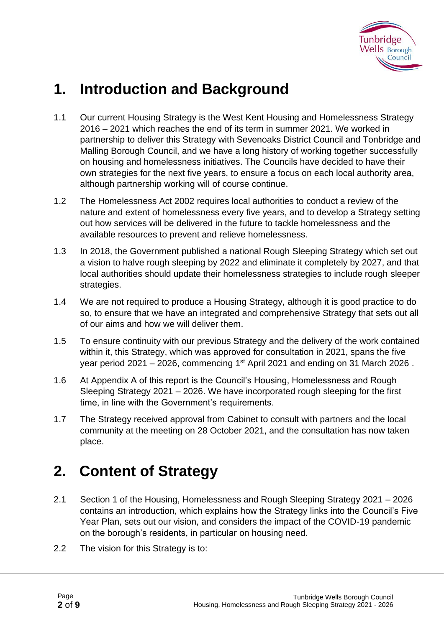

## **1. Introduction and Background**

- 1.1 Our current Housing Strategy is the West Kent Housing and Homelessness Strategy 2016 – 2021 which reaches the end of its term in summer 2021. We worked in partnership to deliver this Strategy with Sevenoaks District Council and Tonbridge and Malling Borough Council, and we have a long history of working together successfully on housing and homelessness initiatives. The Councils have decided to have their own strategies for the next five years, to ensure a focus on each local authority area, although partnership working will of course continue.
- 1.2 The Homelessness Act 2002 requires local authorities to conduct a review of the nature and extent of homelessness every five years, and to develop a Strategy setting out how services will be delivered in the future to tackle homelessness and the available resources to prevent and relieve homelessness.
- 1.3 In 2018, the Government published a national Rough Sleeping Strategy which set out a vision to halve rough sleeping by 2022 and eliminate it completely by 2027, and that local authorities should update their homelessness strategies to include rough sleeper strategies.
- 1.4 We are not required to produce a Housing Strategy, although it is good practice to do so, to ensure that we have an integrated and comprehensive Strategy that sets out all of our aims and how we will deliver them.
- 1.5 To ensure continuity with our previous Strategy and the delivery of the work contained within it, this Strategy, which was approved for consultation in 2021, spans the five year period 2021 – 2026, commencing 1st April 2021 and ending on 31 March 2026 .
- 1.6 At Appendix A of this report is the Council's Housing, Homelessness and Rough Sleeping Strategy 2021 – 2026. We have incorporated rough sleeping for the first time, in line with the Government's requirements.
- 1.7 The Strategy received approval from Cabinet to consult with partners and the local community at the meeting on 28 October 2021, and the consultation has now taken place.

# **2. Content of Strategy**

- 2.1 Section 1 of the Housing, Homelessness and Rough Sleeping Strategy 2021 2026 contains an introduction, which explains how the Strategy links into the Council's Five Year Plan, sets out our vision, and considers the impact of the COVID-19 pandemic on the borough's residents, in particular on housing need.
- 2.2 The vision for this Strategy is to: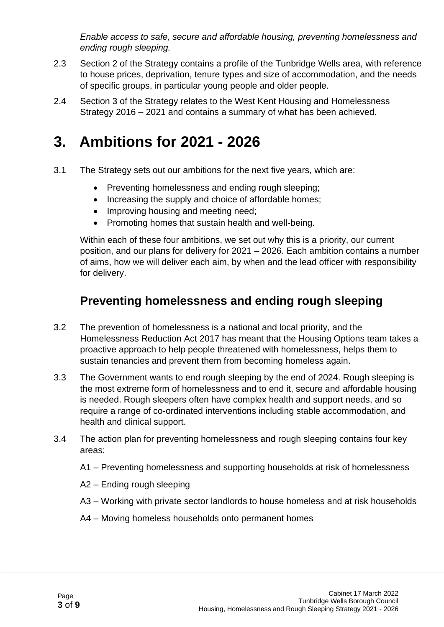*Enable access to safe, secure and affordable housing, preventing homelessness and ending rough sleeping.* 

- 2.3 Section 2 of the Strategy contains a profile of the Tunbridge Wells area, with reference to house prices, deprivation, tenure types and size of accommodation, and the needs of specific groups, in particular young people and older people.
- 2.4 Section 3 of the Strategy relates to the West Kent Housing and Homelessness Strategy 2016 – 2021 and contains a summary of what has been achieved.

## **3. Ambitions for 2021 - 2026**

- 3.1 The Strategy sets out our ambitions for the next five years, which are:
	- Preventing homelessness and ending rough sleeping;
	- Increasing the supply and choice of affordable homes;
	- Improving housing and meeting need;
	- Promoting homes that sustain health and well-being.

Within each of these four ambitions, we set out why this is a priority, our current position, and our plans for delivery for 2021 – 2026. Each ambition contains a number of aims, how we will deliver each aim, by when and the lead officer with responsibility for delivery.

#### **Preventing homelessness and ending rough sleeping**

- 3.2 The prevention of homelessness is a national and local priority, and the Homelessness Reduction Act 2017 has meant that the Housing Options team takes a proactive approach to help people threatened with homelessness, helps them to sustain tenancies and prevent them from becoming homeless again.
- 3.3 The Government wants to end rough sleeping by the end of 2024. Rough sleeping is the most extreme form of homelessness and to end it, secure and affordable housing is needed. Rough sleepers often have complex health and support needs, and so require a range of co-ordinated interventions including stable accommodation, and health and clinical support.
- 3.4 The action plan for preventing homelessness and rough sleeping contains four key areas:
	- A1 Preventing homelessness and supporting households at risk of homelessness
	- A2 Ending rough sleeping
	- A3 Working with private sector landlords to house homeless and at risk households
	- A4 Moving homeless households onto permanent homes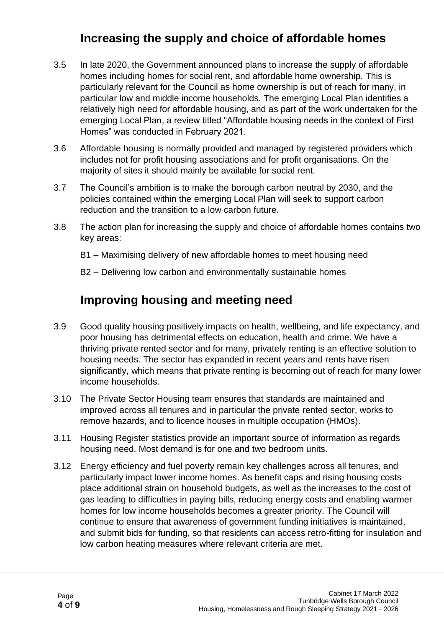#### **Increasing the supply and choice of affordable homes**

- 3.5 In late 2020, the Government announced plans to increase the supply of affordable homes including homes for social rent, and affordable home ownership. This is particularly relevant for the Council as home ownership is out of reach for many, in particular low and middle income households. The emerging Local Plan identifies a relatively high need for affordable housing, and as part of the work undertaken for the emerging Local Plan, a review titled "Affordable housing needs in the context of First Homes" was conducted in February 2021.
- 3.6 Affordable housing is normally provided and managed by registered providers which includes not for profit housing associations and for profit organisations. On the majority of sites it should mainly be available for social rent.
- 3.7 The Council's ambition is to make the borough carbon neutral by 2030, and the policies contained within the emerging Local Plan will seek to support carbon reduction and the transition to a low carbon future.
- 3.8 The action plan for increasing the supply and choice of affordable homes contains two key areas:
	- B1 Maximising delivery of new affordable homes to meet housing need
	- B2 Delivering low carbon and environmentally sustainable homes

#### **Improving housing and meeting need**

- 3.9 Good quality housing positively impacts on health, wellbeing, and life expectancy, and poor housing has detrimental effects on education, health and crime. We have a thriving private rented sector and for many, privately renting is an effective solution to housing needs. The sector has expanded in recent years and rents have risen significantly, which means that private renting is becoming out of reach for many lower income households.
- 3.10 The Private Sector Housing team ensures that standards are maintained and improved across all tenures and in particular the private rented sector, works to remove hazards, and to licence houses in multiple occupation (HMOs).
- 3.11 Housing Register statistics provide an important source of information as regards housing need. Most demand is for one and two bedroom units.
- 3.12 Energy efficiency and fuel poverty remain key challenges across all tenures, and particularly impact lower income homes. As benefit caps and rising housing costs place additional strain on household budgets, as well as the increases to the cost of gas leading to difficulties in paying bills, reducing energy costs and enabling warmer homes for low income households becomes a greater priority. The Council will continue to ensure that awareness of government funding initiatives is maintained, and submit bids for funding, so that residents can access retro-fitting for insulation and low carbon heating measures where relevant criteria are met.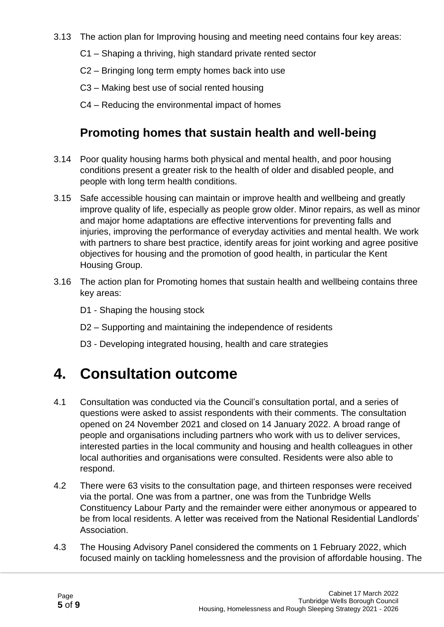- 3.13 The action plan for Improving housing and meeting need contains four key areas:
	- C1 Shaping a thriving, high standard private rented sector
	- C2 Bringing long term empty homes back into use
	- C3 Making best use of social rented housing
	- C4 Reducing the environmental impact of homes

#### **Promoting homes that sustain health and well-being**

- 3.14 Poor quality housing harms both physical and mental health, and poor housing conditions present a greater risk to the health of older and disabled people, and people with long term health conditions.
- 3.15 Safe accessible housing can maintain or improve health and wellbeing and greatly improve quality of life, especially as people grow older. Minor repairs, as well as minor and major home adaptations are effective interventions for preventing falls and injuries, improving the performance of everyday activities and mental health. We work with partners to share best practice, identify areas for joint working and agree positive objectives for housing and the promotion of good health, in particular the Kent Housing Group.
- 3.16 The action plan for Promoting homes that sustain health and wellbeing contains three key areas:
	- D1 Shaping the housing stock
	- D2 Supporting and maintaining the independence of residents
	- D3 Developing integrated housing, health and care strategies

### **4. Consultation outcome**

- 4.1 Consultation was conducted via the Council's consultation portal, and a series of questions were asked to assist respondents with their comments. The consultation opened on 24 November 2021 and closed on 14 January 2022. A broad range of people and organisations including partners who work with us to deliver services, interested parties in the local community and housing and health colleagues in other local authorities and organisations were consulted. Residents were also able to respond.
- 4.2 There were 63 visits to the consultation page, and thirteen responses were received via the portal. One was from a partner, one was from the Tunbridge Wells Constituency Labour Party and the remainder were either anonymous or appeared to be from local residents. A letter was received from the National Residential Landlords' Association.
- 4.3 The Housing Advisory Panel considered the comments on 1 February 2022, which focused mainly on tackling homelessness and the provision of affordable housing. The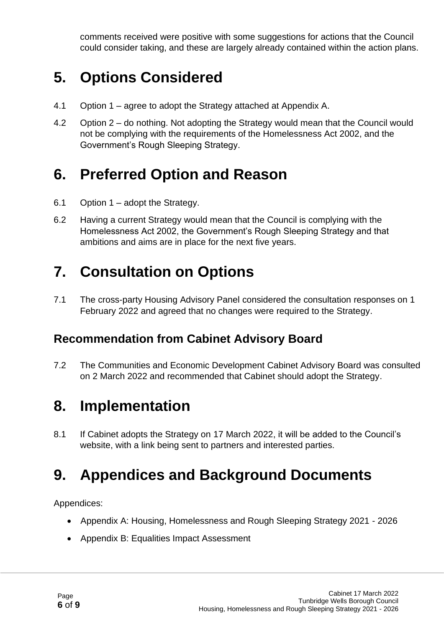comments received were positive with some suggestions for actions that the Council could consider taking, and these are largely already contained within the action plans.

## **5. Options Considered**

- 4.1 Option 1 agree to adopt the Strategy attached at Appendix A.
- 4.2 Option 2 do nothing. Not adopting the Strategy would mean that the Council would not be complying with the requirements of the Homelessness Act 2002, and the Government's Rough Sleeping Strategy.

### **6. Preferred Option and Reason**

- 6.1 Option 1 adopt the Strategy.
- 6.2 Having a current Strategy would mean that the Council is complying with the Homelessness Act 2002, the Government's Rough Sleeping Strategy and that ambitions and aims are in place for the next five years.

# **7. Consultation on Options**

7.1 The cross-party Housing Advisory Panel considered the consultation responses on 1 February 2022 and agreed that no changes were required to the Strategy.

#### **Recommendation from Cabinet Advisory Board**

7.2 The Communities and Economic Development Cabinet Advisory Board was consulted on 2 March 2022 and recommended that Cabinet should adopt the Strategy.

### **8. Implementation**

8.1 If Cabinet adopts the Strategy on 17 March 2022, it will be added to the Council's website, with a link being sent to partners and interested parties.

### **9. Appendices and Background Documents**

Appendices:

- Appendix A: Housing, Homelessness and Rough Sleeping Strategy 2021 2026
- Appendix B: Equalities Impact Assessment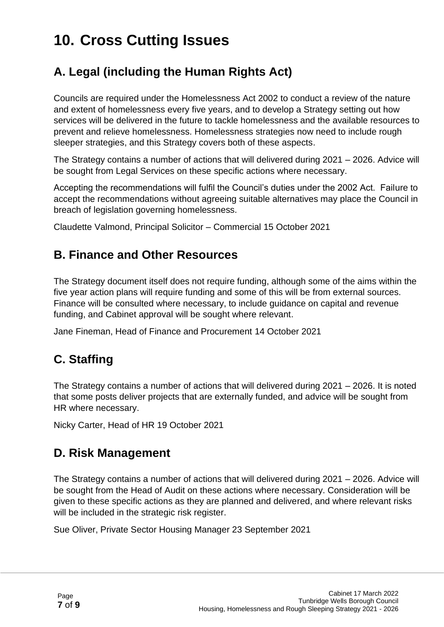# **10. Cross Cutting Issues**

### **A. Legal (including the Human Rights Act)**

Councils are required under the Homelessness Act 2002 to conduct a review of the nature and extent of homelessness every five years, and to develop a Strategy setting out how services will be delivered in the future to tackle homelessness and the available resources to prevent and relieve homelessness. Homelessness strategies now need to include rough sleeper strategies, and this Strategy covers both of these aspects.

The Strategy contains a number of actions that will delivered during 2021 – 2026. Advice will be sought from Legal Services on these specific actions where necessary.

Accepting the recommendations will fulfil the Council's duties under the 2002 Act. Failure to accept the recommendations without agreeing suitable alternatives may place the Council in breach of legislation governing homelessness.

Claudette Valmond, Principal Solicitor – Commercial 15 October 2021

#### **B. Finance and Other Resources**

The Strategy document itself does not require funding, although some of the aims within the five year action plans will require funding and some of this will be from external sources. Finance will be consulted where necessary, to include guidance on capital and revenue funding, and Cabinet approval will be sought where relevant.

Jane Fineman, Head of Finance and Procurement 14 October 2021

### **C. Staffing**

The Strategy contains a number of actions that will delivered during 2021 – 2026. It is noted that some posts deliver projects that are externally funded, and advice will be sought from HR where necessary.

Nicky Carter, Head of HR 19 October 2021

#### **D. Risk Management**

The Strategy contains a number of actions that will delivered during 2021 – 2026. Advice will be sought from the Head of Audit on these actions where necessary. Consideration will be given to these specific actions as they are planned and delivered, and where relevant risks will be included in the strategic risk register.

Sue Oliver, Private Sector Housing Manager 23 September 2021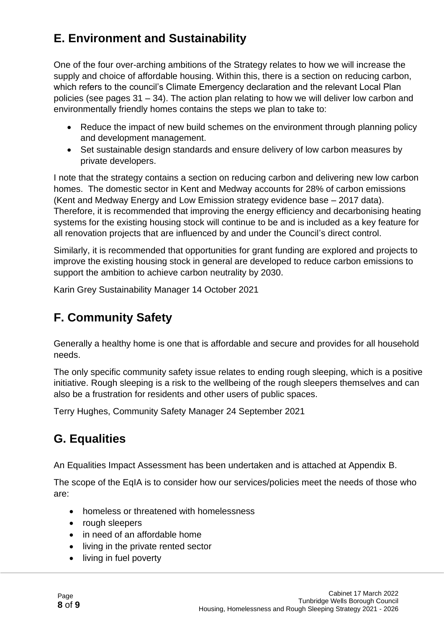### **E. Environment and Sustainability**

One of the four over-arching ambitions of the Strategy relates to how we will increase the supply and choice of affordable housing. Within this, there is a section on reducing carbon, which refers to the council's Climate Emergency declaration and the relevant Local Plan policies (see pages 31 – 34). The action plan relating to how we will deliver low carbon and environmentally friendly homes contains the steps we plan to take to:

- Reduce the impact of new build schemes on the environment through planning policy and development management.
- Set sustainable design standards and ensure delivery of low carbon measures by private developers.

I note that the strategy contains a section on reducing carbon and delivering new low carbon homes. The domestic sector in Kent and Medway accounts for 28% of carbon emissions (Kent and Medway Energy and Low Emission strategy evidence base – 2017 data). Therefore, it is recommended that improving the energy efficiency and decarbonising heating systems for the existing housing stock will continue to be and is included as a key feature for all renovation projects that are influenced by and under the Council's direct control.

Similarly, it is recommended that opportunities for grant funding are explored and projects to improve the existing housing stock in general are developed to reduce carbon emissions to support the ambition to achieve carbon neutrality by 2030.

Karin Grey Sustainability Manager 14 October 2021

### **F. Community Safety**

Generally a healthy home is one that is affordable and secure and provides for all household needs.

The only specific community safety issue relates to ending rough sleeping, which is a positive initiative. Rough sleeping is a risk to the wellbeing of the rough sleepers themselves and can also be a frustration for residents and other users of public spaces.

Terry Hughes, Community Safety Manager 24 September 2021

#### **G. Equalities**

An Equalities Impact Assessment has been undertaken and is attached at Appendix B.

The scope of the EqIA is to consider how our services/policies meet the needs of those who are:

- homeless or threatened with homelessness
- rough sleepers
- in need of an affordable home
- living in the private rented sector
- living in fuel poverty